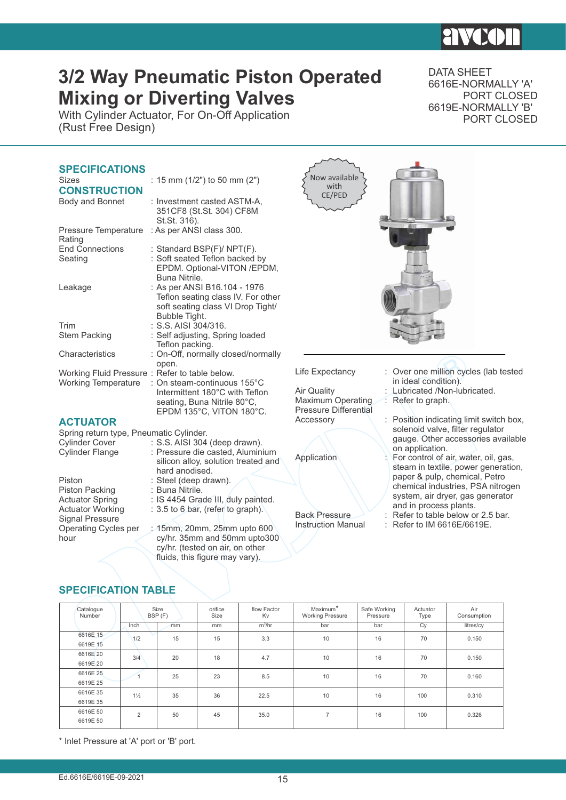# **HIVKI**

## **3/2 Way Pneumatic Piston Operated Mixing or Diverting Valves**

With Cylinder Actuator, For On-Off Application (Rust Free Design)

DATA SHEET 6616E-NORMALLY 'A' PORT CLOSED 6619E-NORMALLY 'B' PORT CLOSED

| <b>SPECIFICATIONS</b><br><b>Sizes</b><br><b>CONSTRUCTION</b><br>Body and Bonnet | : 15 mm $(1/2")$ to 50 mm $(2")$<br>: Investment casted ASTM-A,<br>351CF8 (St.St. 304) CF8M<br>St.St. 316).              | Now available<br>with<br>CE/PED                           |                                                                             |
|---------------------------------------------------------------------------------|--------------------------------------------------------------------------------------------------------------------------|-----------------------------------------------------------|-----------------------------------------------------------------------------|
| Pressure Temperature<br>Rating                                                  | : As per ANSI class 300.                                                                                                 |                                                           |                                                                             |
| <b>End Connections</b><br>Seating                                               | : Standard BSP(F)/ NPT(F).<br>: Soft seated Teflon backed by<br>EPDM. Optional-VITON /EPDM,<br>Buna Nitrile.             |                                                           |                                                                             |
| Leakage                                                                         | : As per ANSI B16.104 - 1976<br>Teflon seating class IV. For other<br>soft seating class VI Drop Tight/<br>Bubble Tight. |                                                           |                                                                             |
| Trim                                                                            | $: S.S.$ AISI 304/316.                                                                                                   |                                                           |                                                                             |
| <b>Stem Packing</b>                                                             | : Self adjusting, Spring loaded<br>Teflon packing.                                                                       |                                                           |                                                                             |
| Characteristics                                                                 | : On-Off, normally closed/normally<br>open.                                                                              |                                                           |                                                                             |
| Working Fluid Pressure: Refer to table below.                                   |                                                                                                                          | Life Expectancy                                           | Over one million cycles (lab tested                                         |
| <b>Working Temperature</b>                                                      | : On steam-continuous 155°C<br>Intermittent 180°C with Teflon<br>seating, Buna Nitrile 80°C,<br>EPDM 135°C, VITON 180°C. | Air Quality<br>Maximum Operating<br>Pressure Differential | in ideal condition).<br>: Lubricated /Non-lubricated.<br>Refer to graph.    |
| <b>ACTUATOR</b>                                                                 |                                                                                                                          | Accessory                                                 | : Position indicating limit switch box,                                     |
| Spring return type, Pneumatic Cylinder.                                         |                                                                                                                          |                                                           | solenoid valve, filter regulator<br>gauge. Other accessories available      |
| <b>Cylinder Cover</b>                                                           | : S.S. AISI 304 (deep drawn).                                                                                            |                                                           | on application.                                                             |
| <b>Cylinder Flange</b>                                                          | : Pressure die casted, Aluminium<br>silicon alloy, solution treated and<br>hard anodised.                                | Application                                               | For control of air, water, oil, gas,<br>steam in textile, power generation, |
| Piston                                                                          | : Steel (deep drawn).                                                                                                    |                                                           | paper & pulp, chemical, Petro<br>chemical industries, PSA nitrogen          |
| Piston Packing                                                                  | : Buna Nitrile.                                                                                                          |                                                           | system, air dryer, gas generator                                            |
| <b>Actuator Spring</b><br><b>Actuator Working</b>                               | : IS 4454 Grade III, duly painted.<br>: 3.5 to 6 bar, (refer to graph).                                                  |                                                           | and in process plants.                                                      |
| <b>Signal Pressure</b>                                                          |                                                                                                                          | <b>Back Pressure</b>                                      | Refer to table below or 2.5 bar.                                            |
| Operating Cycles per                                                            | : 15mm, 20mm, 25mm upto 600                                                                                              | <b>Instruction Manual</b>                                 | : Refer to IM 6616E/6619E.                                                  |
| hour                                                                            | cy/hr. 35mm and 50mm upto300                                                                                             |                                                           |                                                                             |

### **SPECIFICATION TABLE**

| Catalogue<br>Number  | Size<br>BSP (F) |    | orifice<br>Size | flow Factor<br>Kv | Maximum <sup>*</sup><br><b>Working Pressure</b> | Safe Working<br>Pressure | Actuator<br>Type | Air<br>Consumption |
|----------------------|-----------------|----|-----------------|-------------------|-------------------------------------------------|--------------------------|------------------|--------------------|
|                      | Inch            | mm | mm              | $m^3/hr$          | bar                                             | bar                      | Cy               | litres/cy          |
| 6616E 15<br>6619E 15 | 1/2             | 15 | 15              | 3.3               | 10                                              | 16                       | 70               | 0.150              |
| 6616E 20<br>6619E 20 | 3/4             | 20 | 18              | 4.7               | 10                                              | 16                       | 70               | 0.150              |
| 6616E 25<br>6619E 25 |                 | 25 | 23              | 8.5               | 10                                              | 16                       | 70               | 0.160              |
| 6616E 35<br>6619E 35 | $1\frac{1}{2}$  | 35 | 36              | 22.5              | 10                                              | 16                       | 100              | 0.310              |
| 6616E 50<br>6619E 50 | 2               | 50 | 45              | 35.0              | $\overline{7}$                                  | 16                       | 100              | 0.326              |

cy/hr. (tested on air, on other fluids, this figure may vary).

\* Inlet Pressure at 'A' port or 'B' port.